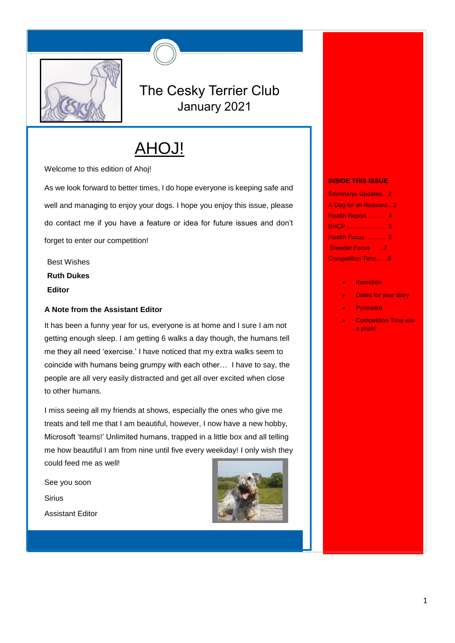

# The Cesky Terrier Club January 2021

# AHOJ!

Welcome to this edition of Ahoj!

As we look forward to better times, I do hope everyone is keeping safe and well and managing to enjoy your dogs. I hope you enjoy this issue, please do contact me if you have a feature or idea for future issues and don't forget to enter our competition!

Best Wishes **Ruth Dukes Editor**

# **A Note from the Assistant Editor**

It has been a funny year for us, everyone is at home and I sure I am not getting enough sleep. I am getting 6 walks a day though, the humans tell me they all need 'exercise.' I have noticed that my extra walks seem to coincide with humans being grumpy with each other… I have to say, the people are all very easily distracted and get all over excited when close to other humans.

I miss seeing all my friends at shows, especially the ones who give me treats and tell me that I am beautiful, however, I now have a new hobby, Microsoft 'teams!' Unlimited humans, trapped in a little box and all telling me how beautiful I am from nine until five every weekday! I only wish they could feed me as well!

See you soon **Sirius** Assistant Editor



#### **INSIDE THIS ISSUE**

Secretarys Updates…2 A Dog for all Reasons...3 Health Report .......... 4 BHCP ...................... 5 Health Focus .......... 6 Breeder Focus ... 7 Competition Time…...8

- **Komidion**
- Dates for your diary
- Pyometra
- Competition Time win a prize!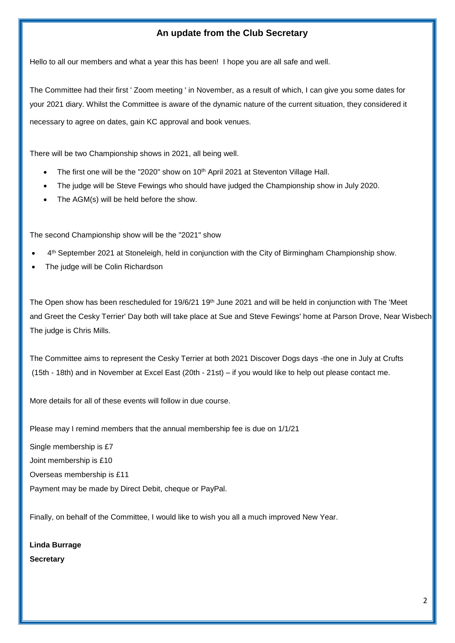# **An update from the Club Secretary**

Hello to all our members and what a year this has been! I hope you are all safe and well.

The Committee had their first ' Zoom meeting ' in November, as a result of which, I can give you some dates for your 2021 diary. Whilst the Committee is aware of the dynamic nature of the current situation, they considered it necessary to agree on dates, gain KC approval and book venues.

There will be two Championship shows in 2021, all being well.

- The first one will be the "2020" show on 10<sup>th</sup> April 2021 at Steventon Village Hall.
- The judge will be Steve Fewings who should have judged the Championship show in July 2020.
- The AGM(s) will be held before the show.

The second Championship show will be the "2021" show

- 4<sup>th</sup> September 2021 at Stoneleigh, held in conjunction with the City of Birmingham Championship show.
- The judge will be Colin Richardson

The Open show has been rescheduled for 19/6/21 19<sup>th</sup> June 2021 and will be held in conjunction with The 'Meet and Greet the Cesky Terrier' Day both will take place at Sue and Steve Fewings' home at Parson Drove, Near Wisbech. The judge is Chris Mills.

The Committee aims to represent the Cesky Terrier at both 2021 Discover Dogs days -the one in July at Crufts (15th - 18th) and in November at Excel East (20th - 21st) – if you would like to help out please contact me.

More details for all of these events will follow in due course.

Please may I remind members that the annual membership fee is due on 1/1/21

Single membership is £7

Joint membership is £10

Overseas membership is £11

Payment may be made by Direct Debit, cheque or PayPal.

Finally, on behalf of the Committee, I would like to wish you all a much improved New Year.

**Linda Burrage Secretary**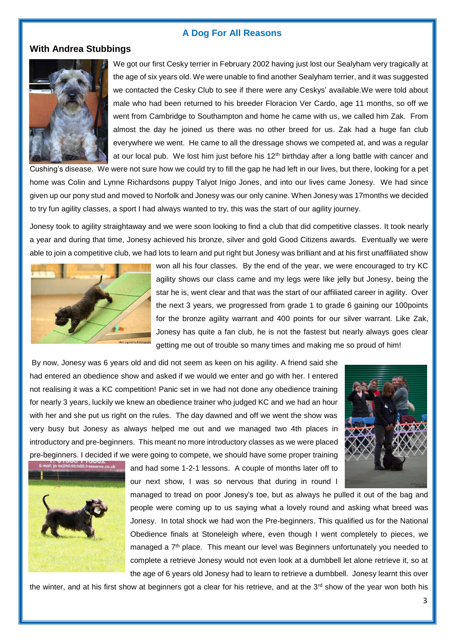#### **A Dog For All Reasons**

# **With Andrea Stubbings**



We got our first Cesky terrier in February 2002 having just lost our Sealyham very tragically at the age of six years old. We were unable to find another Sealyham terrier, and it was suggested we contacted the Cesky Club to see if there were any Ceskys' available.We were told about male who had been returned to his breeder Floracion Ver Cardo, age 11 months, so off we went from Cambridge to Southampton and home he came with us, we called him Zak. From almost the day he joined us there was no other breed for us. Zak had a huge fan club everywhere we went. He came to all the dressage shows we competed at, and was a regular at our local pub. We lost him just before his  $12<sup>th</sup>$  birthday after a long battle with cancer and

Cushing's disease. We were not sure how we could try to fill the gap he had left in our lives, but there, looking for a pet home was Colin and Lynne Richardsons puppy Talyot Inigo Jones, and into our lives came Jonesy. We had since given up our pony stud and moved to Norfolk and Jonesy was our only canine. When Jonesy was 17months we decided to try fun agility classes, a sport I had always wanted to try, this was the start of our agility journey.

Jonesy took to agility straightaway and we were soon looking to find a club that did competitive classes. It took nearly a year and during that time, Jonesy achieved his bronze, silver and gold Good Citizens awards. Eventually we were able to join a competitive club, we had lots to learn and put right but Jonesy was brilliant and at his first unaffiliated show



won all his four classes. By the end of the year, we were encouraged to try KC agility shows our class came and my legs were like jelly but Jonesy, being the star he is, went clear and that was the start of our affiliated career in agility. Over the next 3 years, we progressed from grade 1 to grade 6 gaining our 100points for the bronze agility warrant and 400 points for our silver warrant. Like Zak, Jonesy has quite a fan club, he is not the fastest but nearly always goes clear getting me out of trouble so many times and making me so proud of him!

By now, Jonesy was 6 years old and did not seem as keen on his agility. A friend said she had entered an obedience show and asked if we would we enter and go with her. I entered not realising it was a KC competition! Panic set in we had not done any obedience training for nearly 3 years, luckily we knew an obedience trainer who judged KC and we had an hour with her and she put us right on the rules. The day dawned and off we went the show was very busy but Jonesy as always helped me out and we managed two 4th places in introductory and pre-beginners. This meant no more introductory classes as we were placed pre-beginners. I decided if we were going to compete, we should have some proper training





and had some 1-2-1 lessons. A couple of months later off to our next show, I was so nervous that during in round I

managed to tread on poor Jonesy's toe, but as always he pulled it out of the bag and people were coming up to us saying what a lovely round and asking what breed was Jonesy. In total shock we had won the Pre-beginners. This qualified us for the National Obedience finals at Stoneleigh where, even though I went completely to pieces, we managed a 7<sup>th</sup> place. This meant our level was Beginners unfortunately you needed to complete a retrieve Jonesy would not even look at a dumbbell let alone retrieve it, so at the age of 6 years old Jonesy had to learn to retrieve a dumbbell. Jonesy learnt this over

the winter, and at his first show at beginners got a clear for his retrieve, and at the 3<sup>rd</sup> show of the year won both his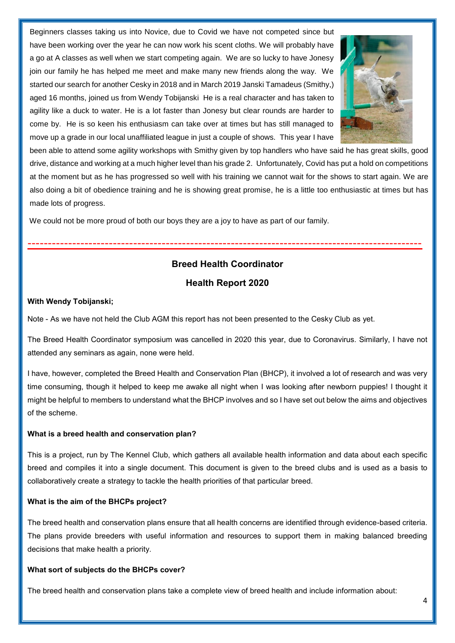Beginners classes taking us into Novice, due to Covid we have not competed since but have been working over the year he can now work his scent cloths. We will probably have a go at A classes as well when we start competing again. We are so lucky to have Jonesy join our family he has helped me meet and make many new friends along the way. We started our search for another Cesky in 2018 and in March 2019 Janski Tamadeus (Smithy,) aged 16 months, joined us from Wendy Tobijanski He is a real character and has taken to agility like a duck to water. He is a lot faster than Jonesy but clear rounds are harder to come by. He is so keen his enthusiasm can take over at times but has still managed to move up a grade in our local unaffiliated league in just a couple of shows. This year I have



been able to attend some agility workshops with Smithy given by top handlers who have said he has great skills, good drive, distance and working at a much higher level than his grade 2. Unfortunately, Covid has put a hold on competitions at the moment but as he has progressed so well with his training we cannot wait for the shows to start again. We are also doing a bit of obedience training and he is showing great promise, he is a little too enthusiastic at times but has made lots of progress.

We could not be more proud of both our boys they are a joy to have as part of our family.

# **Breed Health Coordinator**

-------------------------------------------------------------------------------------------------

# **Health Report 2020**

#### **With Wendy Tobijanski;**

Note - As we have not held the Club AGM this report has not been presented to the Cesky Club as yet.

The Breed Health Coordinator symposium was cancelled in 2020 this year, due to Coronavirus. Similarly, I have not attended any seminars as again, none were held.

I have, however, completed the Breed Health and Conservation Plan (BHCP), it involved a lot of research and was very time consuming, though it helped to keep me awake all night when I was looking after newborn puppies! I thought it might be helpful to members to understand what the BHCP involves and so I have set out below the aims and objectives of the scheme.

#### **What is a breed health and conservation plan?**

This is a project, run by The Kennel Club, which gathers all available health information and data about each specific breed and compiles it into a single document. This document is given to the breed clubs and is used as a basis to collaboratively create a strategy to tackle the health priorities of that particular breed.

#### **What is the aim of the BHCPs project?**

The breed health and conservation plans ensure that all health concerns are identified through evidence-based criteria. The plans provide breeders with useful information and resources to support them in making balanced breeding decisions that make health a priority.

#### **What sort of subjects do the BHCPs cover?**

The breed health and conservation plans take a complete view of breed health and include information about: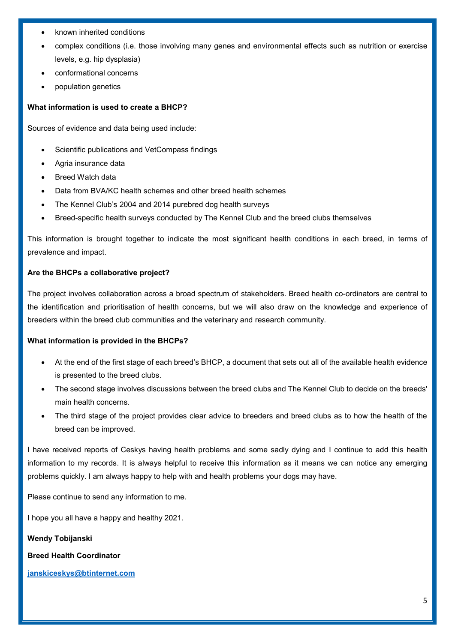- known inherited conditions
- complex conditions (i.e. those involving many genes and environmental effects such as nutrition or exercise levels, e.g. hip dysplasia)
- conformational concerns
- population genetics

# **What information is used to create a BHCP?**

Sources of evidence and data being used include:

- Scientific publications and VetCompass findings
- Agria insurance data
- Breed Watch data
- Data from BVA/KC health schemes and other breed health schemes
- The Kennel Club's 2004 and 2014 purebred dog health surveys
- Breed-specific health surveys conducted by The Kennel Club and the breed clubs themselves

This information is brought together to indicate the most significant health conditions in each breed, in terms of prevalence and impact.

# **Are the BHCPs a collaborative project?**

The project involves collaboration across a broad spectrum of stakeholders. Breed health co-ordinators are central to the identification and prioritisation of health concerns, but we will also draw on the knowledge and experience of breeders within the breed club communities and the veterinary and research community.

#### **What information is provided in the BHCPs?**

- At the end of the first stage of each breed's BHCP, a document that sets out all of the available health evidence is presented to the breed clubs.
- The second stage involves discussions between the breed clubs and The Kennel Club to decide on the breeds' main health concerns.
- The third stage of the project provides clear advice to breeders and breed clubs as to how the health of the breed can be improved.

I have received reports of Ceskys having health problems and some sadly dying and I continue to add this health information to my records. It is always helpful to receive this information as it means we can notice any emerging problems quickly. I am always happy to help with and health problems your dogs may have.

Please continue to send any information to me.

I hope you all have a happy and healthy 2021.

**Wendy Tobijanski**

**Breed Health Coordinator**

**[janskiceskys@btinternet.com](mailto:janskiceskys@btinternet.com)**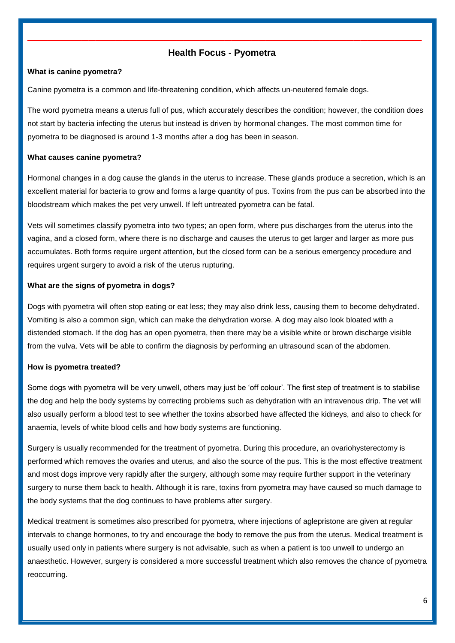# **Health Focus - Pyometra**

**\_\_\_\_\_\_\_\_\_\_\_\_\_\_\_\_\_\_\_\_\_\_\_\_\_\_\_\_\_\_\_\_\_\_\_\_\_\_\_\_\_\_\_\_\_\_\_\_\_\_\_\_\_\_\_\_\_\_**

### **What is canine pyometra?**

Canine pyometra is a common and life-threatening condition, which affects un-neutered female dogs.

The word pyometra means a uterus full of pus, which accurately describes the condition; however, the condition does not start by bacteria infecting the uterus but instead is driven by hormonal changes. The most common time for pyometra to be diagnosed is around 1-3 months after a dog has been in season.

#### **What causes canine pyometra?**

Hormonal changes in a dog cause the glands in the uterus to increase. These glands produce a secretion, which is an excellent material for bacteria to grow and forms a large quantity of pus. Toxins from the pus can be absorbed into the bloodstream which makes the pet very unwell. If left untreated pyometra can be fatal.

Vets will sometimes classify pyometra into two types; an open form, where pus discharges from the uterus into the vagina, and a closed form, where there is no discharge and causes the uterus to get larger and larger as more pus accumulates. Both forms require urgent attention, but the closed form can be a serious emergency procedure and requires urgent surgery to avoid a risk of the uterus rupturing.

#### **What are the signs of pyometra in dogs?**

Dogs with pyometra will often stop eating or eat less; they may also drink less, causing them to become dehydrated. Vomiting is also a common sign, which can make the dehydration worse. A dog may also look bloated with a distended stomach. If the dog has an open pyometra, then there may be a visible white or brown discharge visible from the vulva. Vets will be able to confirm the diagnosis by performing an ultrasound scan of the abdomen.

#### **How is pyometra treated?**

Some dogs with pyometra will be very unwell, others may just be 'off colour'. The first step of treatment is to stabilise the dog and help the body systems by correcting problems such as dehydration with an intravenous drip. The vet will also usually perform a blood test to see whether the toxins absorbed have affected the kidneys, and also to check for anaemia, levels of white blood cells and how body systems are functioning.

Surgery is usually recommended for the treatment of pyometra. During this procedure, an ovariohysterectomy is performed which removes the ovaries and uterus, and also the source of the pus. This is the most effective treatment and most dogs improve very rapidly after the surgery, although some may require further support in the veterinary surgery to nurse them back to health. Although it is rare, toxins from pyometra may have caused so much damage to the body systems that the dog continues to have problems after surgery.

Medical treatment is sometimes also prescribed for pyometra, where injections of aglepristone are given at regular intervals to change hormones, to try and encourage the body to remove the pus from the uterus. Medical treatment is usually used only in patients where surgery is not advisable, such as when a patient is too unwell to undergo an anaesthetic. However, surgery is considered a more successful treatment which also removes the chance of pyometra reoccurring.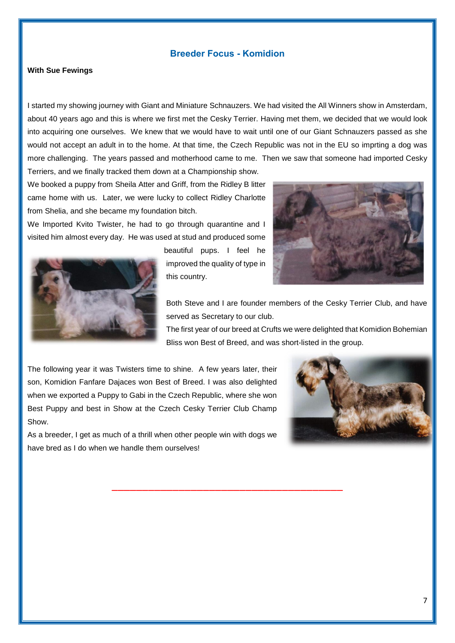# **Breeder Focus - Komidion**

#### **With Sue Fewings**

I started my showing journey with Giant and Miniature Schnauzers. We had visited the All Winners show in Amsterdam, about 40 years ago and this is where we first met the Cesky Terrier. Having met them, we decided that we would look into acquiring one ourselves. We knew that we would have to wait until one of our Giant Schnauzers passed as she would not accept an adult in to the home. At that time, the Czech Republic was not in the EU so imprting a dog was more challenging. The years passed and motherhood came to me. Then we saw that someone had imported Cesky Terriers, and we finally tracked them down at a Championship show.

We booked a puppy from Sheila Atter and Griff, from the Ridley B litter came home with us. Later, we were lucky to collect Ridley Charlotte from Shelia, and she became my foundation bitch.

We Imported Kvito Twister, he had to go through quarantine and I visited him almost every day. He was used at stud and produced some



beautiful pups. I feel he improved the quality of type in this country.

\_\_\_\_\_\_\_\_\_\_\_\_\_\_\_\_\_\_\_\_\_\_\_\_\_\_\_\_\_\_\_\_\_\_\_\_\_\_



Both Steve and I are founder members of the Cesky Terrier Club, and have served as Secretary to our club.

The first year of our breed at Crufts we were delighted that Komidion Bohemian Bliss won Best of Breed, and was short-listed in the group.

The following year it was Twisters time to shine. A few years later, their son, Komidion Fanfare Dajaces won Best of Breed. I was also delighted when we exported a Puppy to Gabi in the Czech Republic, where she won Best Puppy and best in Show at the Czech Cesky Terrier Club Champ Show.

As a breeder, I get as much of a thrill when other people win with dogs we have bred as I do when we handle them ourselves!